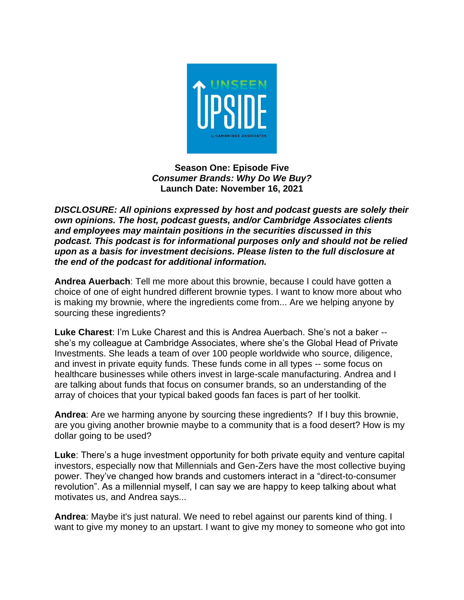

**Season One: Episode Five** *Consumer Brands: Why Do We Buy?* **Launch Date: November 16, 2021**

*DISCLOSURE: All opinions expressed by host and podcast guests are solely their own opinions. The host, podcast guests, and/or Cambridge Associates clients and employees may maintain positions in the securities discussed in this podcast. This podcast is for informational purposes only and should not be relied upon as a basis for investment decisions. Please listen to the full disclosure at the end of the podcast for additional information.*

**Andrea Auerbach**: Tell me more about this brownie, because I could have gotten a choice of one of eight hundred different brownie types. I want to know more about who is making my brownie, where the ingredients come from... Are we helping anyone by sourcing these ingredients?

**Luke Charest**: I'm Luke Charest and this is Andrea Auerbach. She's not a baker - she's my colleague at Cambridge Associates, where she's the Global Head of Private Investments. She leads a team of over 100 people worldwide who source, diligence, and invest in private equity funds. These funds come in all types -- some focus on healthcare businesses while others invest in large-scale manufacturing. Andrea and I are talking about funds that focus on consumer brands, so an understanding of the array of choices that your typical baked goods fan faces is part of her toolkit.

**Andrea**: Are we harming anyone by sourcing these ingredients? If I buy this brownie, are you giving another brownie maybe to a community that is a food desert? How is my dollar going to be used?

**Luke**: There's a huge investment opportunity for both private equity and venture capital investors, especially now that Millennials and Gen-Zers have the most collective buying power. They've changed how brands and customers interact in a "direct-to-consumer revolution". As a millennial myself, I can say we are happy to keep talking about what motivates us, and Andrea says...

**Andrea**: Maybe it's just natural. We need to rebel against our parents kind of thing. I want to give my money to an upstart. I want to give my money to someone who got into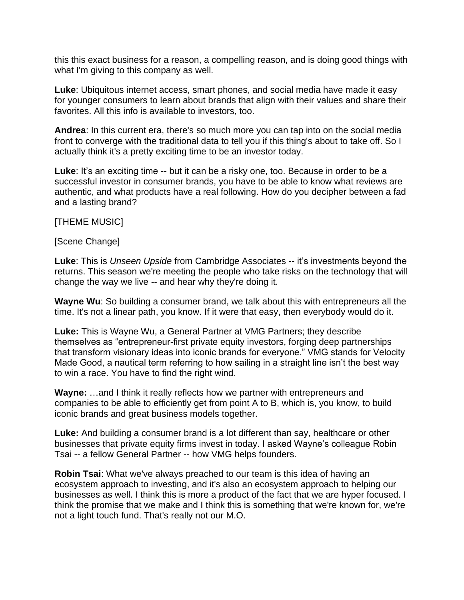this this exact business for a reason, a compelling reason, and is doing good things with what I'm giving to this company as well.

**Luke**: Ubiquitous internet access, smart phones, and social media have made it easy for younger consumers to learn about brands that align with their values and share their favorites. All this info is available to investors, too.

**Andrea**: In this current era, there's so much more you can tap into on the social media front to converge with the traditional data to tell you if this thing's about to take off. So I actually think it's a pretty exciting time to be an investor today.

Luke: It's an exciting time -- but it can be a risky one, too. Because in order to be a successful investor in consumer brands, you have to be able to know what reviews are authentic, and what products have a real following. How do you decipher between a fad and a lasting brand?

[THEME MUSIC]

[Scene Change]

**Luke**: This is *Unseen Upside* from Cambridge Associates -- it's investments beyond the returns. This season we're meeting the people who take risks on the technology that will change the way we live -- and hear why they're doing it.

**Wayne Wu**: So building a consumer brand, we talk about this with entrepreneurs all the time. It's not a linear path, you know. If it were that easy, then everybody would do it.

**Luke:** This is Wayne Wu, a General Partner at VMG Partners; they describe themselves as "entrepreneur-first private equity investors, forging deep partnerships that transform visionary ideas into iconic brands for everyone." VMG stands for Velocity Made Good, a nautical term referring to how sailing in a straight line isn't the best way to win a race. You have to find the right wind.

**Wayne:** …and I think it really reflects how we partner with entrepreneurs and companies to be able to efficiently get from point A to B, which is, you know, to build iconic brands and great business models together.

**Luke:** And building a consumer brand is a lot different than say, healthcare or other businesses that private equity firms invest in today. I asked Wayne's colleague Robin Tsai -- a fellow General Partner -- how VMG helps founders.

**Robin Tsai**: What we've always preached to our team is this idea of having an ecosystem approach to investing, and it's also an ecosystem approach to helping our businesses as well. I think this is more a product of the fact that we are hyper focused. I think the promise that we make and I think this is something that we're known for, we're not a light touch fund. That's really not our M.O.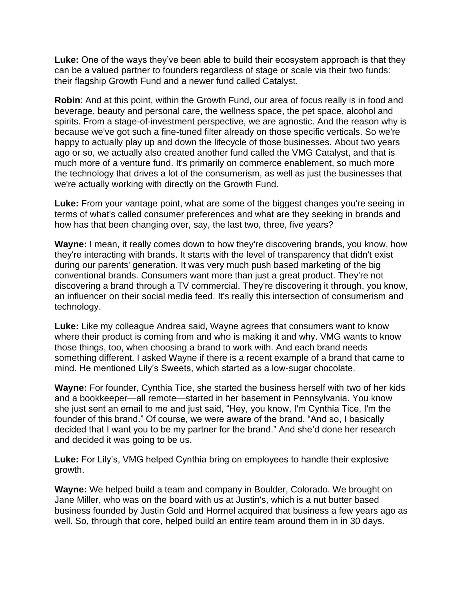**Luke:** One of the ways they've been able to build their ecosystem approach is that they can be a valued partner to founders regardless of stage or scale via their two funds: their flagship Growth Fund and a newer fund called Catalyst.

**Robin**: And at this point, within the Growth Fund, our area of focus really is in food and beverage, beauty and personal care, the wellness space, the pet space, alcohol and spirits. From a stage-of-investment perspective, we are agnostic. And the reason why is because we've got such a fine-tuned filter already on those specific verticals. So we're happy to actually play up and down the lifecycle of those businesses. About two years ago or so, we actually also created another fund called the VMG Catalyst, and that is much more of a venture fund. It's primarily on commerce enablement, so much more the technology that drives a lot of the consumerism, as well as just the businesses that we're actually working with directly on the Growth Fund.

**Luke:** From your vantage point, what are some of the biggest changes you're seeing in terms of what's called consumer preferences and what are they seeking in brands and how has that been changing over, say, the last two, three, five years?

**Wayne:** I mean, it really comes down to how they're discovering brands, you know, how they're interacting with brands. It starts with the level of transparency that didn't exist during our parents' generation. It was very much push based marketing of the big conventional brands. Consumers want more than just a great product. They're not discovering a brand through a TV commercial. They're discovering it through, you know, an influencer on their social media feed. It's really this intersection of consumerism and technology.

**Luke:** Like my colleague Andrea said, Wayne agrees that consumers want to know where their product is coming from and who is making it and why. VMG wants to know those things, too, when choosing a brand to work with. And each brand needs something different. I asked Wayne if there is a recent example of a brand that came to mind. He mentioned Lily's Sweets, which started as a low-sugar chocolate.

**Wayne:** For founder, Cynthia Tice, she started the business herself with two of her kids and a bookkeeper—all remote—started in her basement in Pennsylvania. You know she just sent an email to me and just said, "Hey, you know, I'm Cynthia Tice, I'm the founder of this brand." Of course, we were aware of the brand. "And so, I basically decided that I want you to be my partner for the brand." And she'd done her research and decided it was going to be us.

**Luke:** For Lily's, VMG helped Cynthia bring on employees to handle their explosive growth.

**Wayne:** We helped build a team and company in Boulder, Colorado. We brought on Jane Miller, who was on the board with us at Justin's, which is a nut butter based business founded by Justin Gold and Hormel acquired that business a few years ago as well. So, through that core, helped build an entire team around them in in 30 days.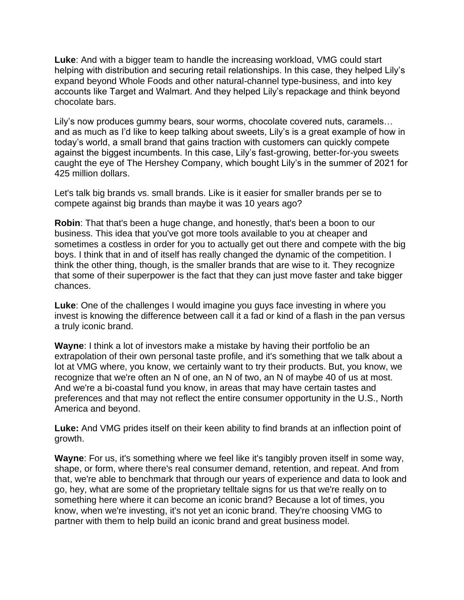**Luke**: And with a bigger team to handle the increasing workload, VMG could start helping with distribution and securing retail relationships. In this case, they helped Lily's expand beyond Whole Foods and other natural-channel type-business, and into key accounts like Target and Walmart. And they helped Lily's repackage and think beyond chocolate bars.

Lily's now produces gummy bears, sour worms, chocolate covered nuts, caramels… and as much as I'd like to keep talking about sweets, Lily's is a great example of how in today's world, a small brand that gains traction with customers can quickly compete against the biggest incumbents. In this case, Lily's fast-growing, better-for-you sweets caught the eye of The Hershey Company, which bought Lily's in the summer of 2021 for 425 million dollars.

Let's talk big brands vs. small brands. Like is it easier for smaller brands per se to compete against big brands than maybe it was 10 years ago?

**Robin**: That that's been a huge change, and honestly, that's been a boon to our business. This idea that you've got more tools available to you at cheaper and sometimes a costless in order for you to actually get out there and compete with the big boys. I think that in and of itself has really changed the dynamic of the competition. I think the other thing, though, is the smaller brands that are wise to it. They recognize that some of their superpower is the fact that they can just move faster and take bigger chances.

**Luke**: One of the challenges I would imagine you guys face investing in where you invest is knowing the difference between call it a fad or kind of a flash in the pan versus a truly iconic brand.

**Wayne**: I think a lot of investors make a mistake by having their portfolio be an extrapolation of their own personal taste profile, and it's something that we talk about a lot at VMG where, you know, we certainly want to try their products. But, you know, we recognize that we're often an N of one, an N of two, an N of maybe 40 of us at most. And we're a bi-coastal fund you know, in areas that may have certain tastes and preferences and that may not reflect the entire consumer opportunity in the U.S., North America and beyond.

**Luke:** And VMG prides itself on their keen ability to find brands at an inflection point of growth.

**Wayne**: For us, it's something where we feel like it's tangibly proven itself in some way, shape, or form, where there's real consumer demand, retention, and repeat. And from that, we're able to benchmark that through our years of experience and data to look and go, hey, what are some of the proprietary telltale signs for us that we're really on to something here where it can become an iconic brand? Because a lot of times, you know, when we're investing, it's not yet an iconic brand. They're choosing VMG to partner with them to help build an iconic brand and great business model.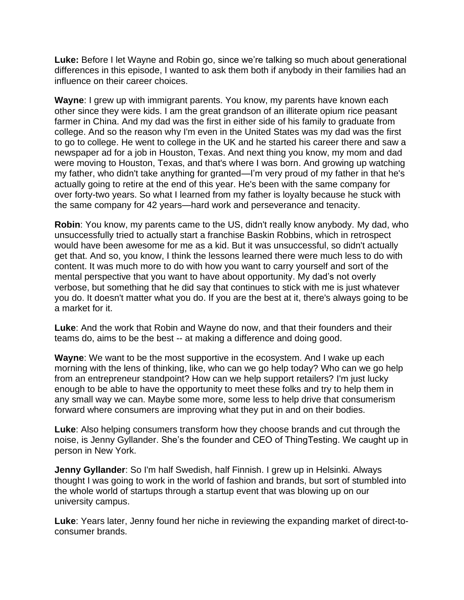**Luke:** Before I let Wayne and Robin go, since we're talking so much about generational differences in this episode, I wanted to ask them both if anybody in their families had an influence on their career choices.

**Wayne**: I grew up with immigrant parents. You know, my parents have known each other since they were kids. I am the great grandson of an illiterate opium rice peasant farmer in China. And my dad was the first in either side of his family to graduate from college. And so the reason why I'm even in the United States was my dad was the first to go to college. He went to college in the UK and he started his career there and saw a newspaper ad for a job in Houston, Texas. And next thing you know, my mom and dad were moving to Houston, Texas, and that's where I was born. And growing up watching my father, who didn't take anything for granted—I'm very proud of my father in that he's actually going to retire at the end of this year. He's been with the same company for over forty-two years. So what I learned from my father is loyalty because he stuck with the same company for 42 years—hard work and perseverance and tenacity.

**Robin**: You know, my parents came to the US, didn't really know anybody. My dad, who unsuccessfully tried to actually start a franchise Baskin Robbins, which in retrospect would have been awesome for me as a kid. But it was unsuccessful, so didn't actually get that. And so, you know, I think the lessons learned there were much less to do with content. It was much more to do with how you want to carry yourself and sort of the mental perspective that you want to have about opportunity. My dad's not overly verbose, but something that he did say that continues to stick with me is just whatever you do. It doesn't matter what you do. If you are the best at it, there's always going to be a market for it.

**Luke**: And the work that Robin and Wayne do now, and that their founders and their teams do, aims to be the best -- at making a difference and doing good.

**Wayne**: We want to be the most supportive in the ecosystem. And I wake up each morning with the lens of thinking, like, who can we go help today? Who can we go help from an entrepreneur standpoint? How can we help support retailers? I'm just lucky enough to be able to have the opportunity to meet these folks and try to help them in any small way we can. Maybe some more, some less to help drive that consumerism forward where consumers are improving what they put in and on their bodies.

**Luke**: Also helping consumers transform how they choose brands and cut through the noise, is Jenny Gyllander. She's the founder and CEO of ThingTesting. We caught up in person in New York.

**Jenny Gyllander**: So I'm half Swedish, half Finnish. I grew up in Helsinki. Always thought I was going to work in the world of fashion and brands, but sort of stumbled into the whole world of startups through a startup event that was blowing up on our university campus.

**Luke**: Years later, Jenny found her niche in reviewing the expanding market of direct-toconsumer brands.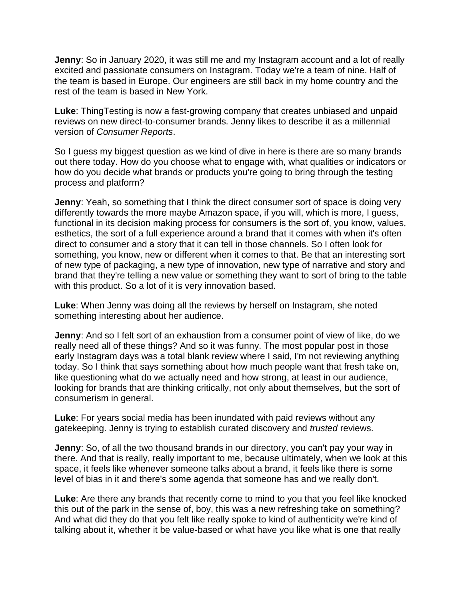**Jenny**: So in January 2020, it was still me and my Instagram account and a lot of really excited and passionate consumers on Instagram. Today we're a team of nine. Half of the team is based in Europe. Our engineers are still back in my home country and the rest of the team is based in New York.

**Luke**: ThingTesting is now a fast-growing company that creates unbiased and unpaid reviews on new direct-to-consumer brands. Jenny likes to describe it as a millennial version of *Consumer Reports*.

So I guess my biggest question as we kind of dive in here is there are so many brands out there today. How do you choose what to engage with, what qualities or indicators or how do you decide what brands or products you're going to bring through the testing process and platform?

**Jenny:** Yeah, so something that I think the direct consumer sort of space is doing very differently towards the more maybe Amazon space, if you will, which is more, I guess, functional in its decision making process for consumers is the sort of, you know, values, esthetics, the sort of a full experience around a brand that it comes with when it's often direct to consumer and a story that it can tell in those channels. So I often look for something, you know, new or different when it comes to that. Be that an interesting sort of new type of packaging, a new type of innovation, new type of narrative and story and brand that they're telling a new value or something they want to sort of bring to the table with this product. So a lot of it is very innovation based.

**Luke**: When Jenny was doing all the reviews by herself on Instagram, she noted something interesting about her audience.

**Jenny:** And so I felt sort of an exhaustion from a consumer point of view of like, do we really need all of these things? And so it was funny. The most popular post in those early Instagram days was a total blank review where I said, I'm not reviewing anything today. So I think that says something about how much people want that fresh take on, like questioning what do we actually need and how strong, at least in our audience, looking for brands that are thinking critically, not only about themselves, but the sort of consumerism in general.

**Luke**: For years social media has been inundated with paid reviews without any gatekeeping. Jenny is trying to establish curated discovery and *trusted* reviews.

**Jenny**: So, of all the two thousand brands in our directory, you can't pay your way in there. And that is really, really important to me, because ultimately, when we look at this space, it feels like whenever someone talks about a brand, it feels like there is some level of bias in it and there's some agenda that someone has and we really don't.

**Luke**: Are there any brands that recently come to mind to you that you feel like knocked this out of the park in the sense of, boy, this was a new refreshing take on something? And what did they do that you felt like really spoke to kind of authenticity we're kind of talking about it, whether it be value-based or what have you like what is one that really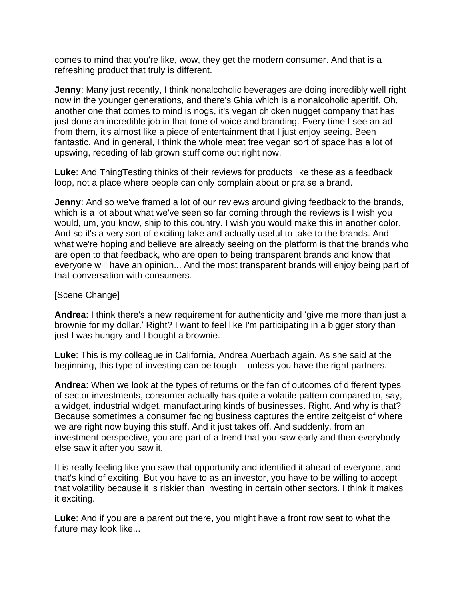comes to mind that you're like, wow, they get the modern consumer. And that is a refreshing product that truly is different.

**Jenny**: Many just recently, I think nonalcoholic beverages are doing incredibly well right now in the younger generations, and there's Ghia which is a nonalcoholic aperitif. Oh, another one that comes to mind is nogs, it's vegan chicken nugget company that has just done an incredible job in that tone of voice and branding. Every time I see an ad from them, it's almost like a piece of entertainment that I just enjoy seeing. Been fantastic. And in general, I think the whole meat free vegan sort of space has a lot of upswing, receding of lab grown stuff come out right now.

**Luke**: And ThingTesting thinks of their reviews for products like these as a feedback loop, not a place where people can only complain about or praise a brand.

**Jenny**: And so we've framed a lot of our reviews around giving feedback to the brands, which is a lot about what we've seen so far coming through the reviews is I wish you would, um, you know, ship to this country. I wish you would make this in another color. And so it's a very sort of exciting take and actually useful to take to the brands. And what we're hoping and believe are already seeing on the platform is that the brands who are open to that feedback, who are open to being transparent brands and know that everyone will have an opinion... And the most transparent brands will enjoy being part of that conversation with consumers.

## [Scene Change]

**Andrea**: I think there's a new requirement for authenticity and 'give me more than just a brownie for my dollar.' Right? I want to feel like I'm participating in a bigger story than just I was hungry and I bought a brownie.

**Luke**: This is my colleague in California, Andrea Auerbach again. As she said at the beginning, this type of investing can be tough -- unless you have the right partners.

**Andrea**: When we look at the types of returns or the fan of outcomes of different types of sector investments, consumer actually has quite a volatile pattern compared to, say, a widget, industrial widget, manufacturing kinds of businesses. Right. And why is that? Because sometimes a consumer facing business captures the entire zeitgeist of where we are right now buying this stuff. And it just takes off. And suddenly, from an investment perspective, you are part of a trend that you saw early and then everybody else saw it after you saw it.

It is really feeling like you saw that opportunity and identified it ahead of everyone, and that's kind of exciting. But you have to as an investor, you have to be willing to accept that volatility because it is riskier than investing in certain other sectors. I think it makes it exciting.

**Luke**: And if you are a parent out there, you might have a front row seat to what the future may look like...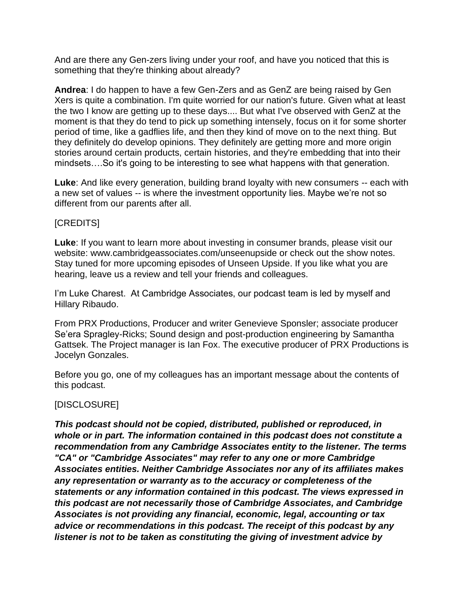And are there any Gen-zers living under your roof, and have you noticed that this is something that they're thinking about already?

**Andrea**: I do happen to have a few Gen-Zers and as GenZ are being raised by Gen Xers is quite a combination. I'm quite worried for our nation's future. Given what at least the two I know are getting up to these days.... But what I've observed with GenZ at the moment is that they do tend to pick up something intensely, focus on it for some shorter period of time, like a gadflies life, and then they kind of move on to the next thing. But they definitely do develop opinions. They definitely are getting more and more origin stories around certain products, certain histories, and they're embedding that into their mindsets….So it's going to be interesting to see what happens with that generation.

**Luke**: And like every generation, building brand loyalty with new consumers -- each with a new set of values -- is where the investment opportunity lies. Maybe we're not so different from our parents after all.

## [CREDITS]

**Luke**: If you want to learn more about investing in consumer brands, please visit our website: www.cambridgeassociates.com/unseenupside or check out the show notes. Stay tuned for more upcoming episodes of Unseen Upside. If you like what you are hearing, leave us a review and tell your friends and colleagues.

I'm Luke Charest. At Cambridge Associates, our podcast team is led by myself and Hillary Ribaudo.

From PRX Productions, Producer and writer Genevieve Sponsler; associate producer Se'era Spragley-Ricks; Sound design and post-production engineering by Samantha Gattsek. The Project manager is Ian Fox. The executive producer of PRX Productions is Jocelyn Gonzales.

Before you go, one of my colleagues has an important message about the contents of this podcast.

## [DISCLOSURE]

*This podcast should not be copied, distributed, published or reproduced, in whole or in part. The information contained in this podcast does not constitute a recommendation from any Cambridge Associates entity to the listener. The terms "CA" or "Cambridge Associates" may refer to any one or more Cambridge Associates entities. Neither Cambridge Associates nor any of its affiliates makes any representation or warranty as to the accuracy or completeness of the statements or any information contained in this podcast. The views expressed in this podcast are not necessarily those of Cambridge Associates, and Cambridge Associates is not providing any financial, economic, legal, accounting or tax advice or recommendations in this podcast. The receipt of this podcast by any listener is not to be taken as constituting the giving of investment advice by*